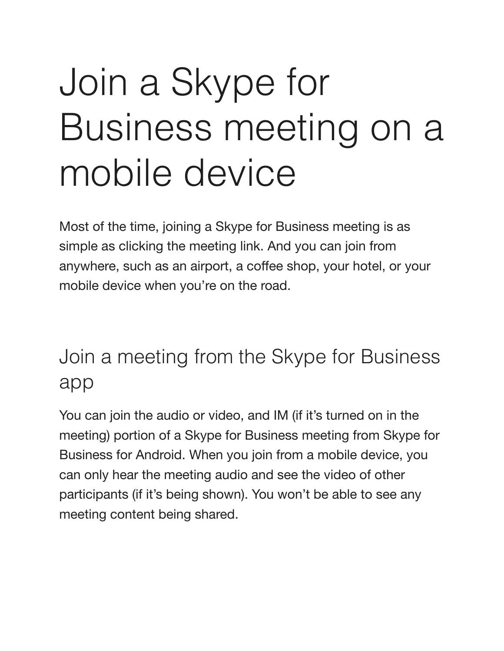## Join a Skype for Business meeting on a mobile device

Most of the time, joining a Skype for Business meeting is as simple as clicking the meeting link. And you can join from anywhere, such as an airport, a coffee shop, your hotel, or your mobile device when you're on the road.

## Join a meeting from the Skype for Business app

You can join the audio or video, and IM (if it's turned on in the meeting) portion of a Skype for Business meeting from Skype for Business for Android. When you join from a mobile device, you can only hear the meeting audio and see the video of other participants (if it's being shown). You won't be able to see any meeting content being shared.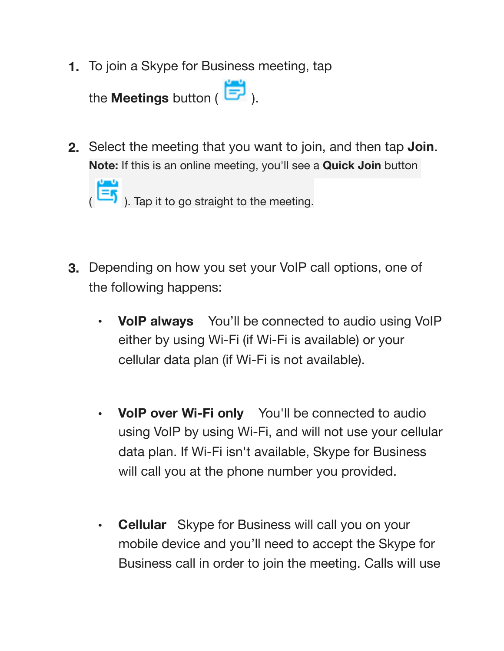**1.** To join a Skype for Business meeting, tap



**2.** Select the meeting that you want to join, and then tap **Join**. **Note:** If this is an online meeting, you'll see a **Quick Join** button



- **3.** Depending on how you set your VoIP call options, one of the following happens:
	- **• VoIP always** You'll be connected to audio using VoIP either by using Wi-Fi (if Wi-Fi is available) or your cellular data plan (if Wi-Fi is not available).
	- **• VoIP over Wi-Fi only** You'll be connected to audio using VoIP by using Wi-Fi, and will not use your cellular data plan. If Wi-Fi isn't available, Skype for Business will call you at the phone number you provided.
	- **• Cellular** Skype for Business will call you on your mobile device and you'll need to accept the Skype for Business call in order to join the meeting. Calls will use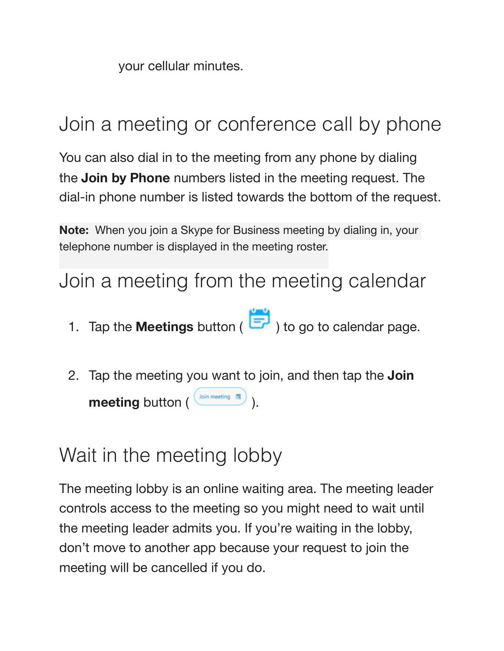your cellular minutes.

## Join a meeting or conference call by phone

You can also dial in to the meeting from any phone by dialing the **Join by Phone** numbers listed in the meeting request. The dial-in phone number is listed towards the bottom of the request.

**Note:** When you join a Skype for Business meeting by dialing in, your telephone number is displayed in the meeting roster.

Join a meeting from the meeting calendar

- 1. Tap the **Meetings** button (  $\begin{bmatrix} 1 \\ 2 \end{bmatrix}$  ) to go to calendar page.
- 2. Tap the meeting you want to join, and then tap the **Join meeting** button ( $\frac{\left(\text{Join meeting } \mathbf{f}\right)}{\left(\text{Join meeting } \mathbf{f}\right)}$ ).

## Wait in the meeting lobby

The meeting lobby is an online waiting area. The meeting leader controls access to the meeting so you might need to wait until the meeting leader admits you. If you're waiting in the lobby, don't move to another app because your request to join the meeting will be cancelled if you do.